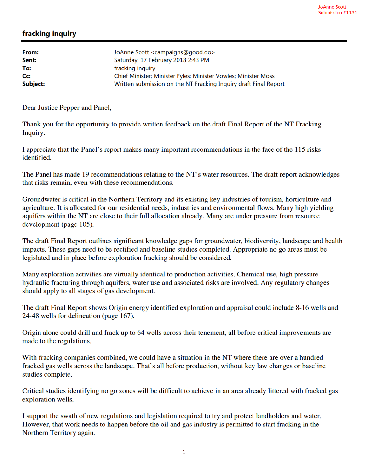## fracking inquiry

| From:            | JoAnne Scott <campaigns@good.do></campaigns@good.do>             |
|------------------|------------------------------------------------------------------|
| Sent:            | Saturday, 17 February 2018 2:43 PM                               |
| To:              | fracking inquiry                                                 |
| $C_{\mathbf{C}}$ | Chief Minister; Minister Fyles; Minister Vowles; Minister Moss   |
| Subject:         | Written submission on the NT Fracking Inquiry draft Final Report |

Dear Justice Pepper and Panel,

Thank you for the opportunity to provide written feedback on the draft Final Report of the NT Fracking Inquiry.

I appreciate that the Panel's report makes many important recommendations in the face of the 115 risks identified.

The Panel has made 19 recommendations relating to the NT's water resources. The draft report acknowledges that risks remain, even with these recommendations.

Groundwater is critical in the Northern Territory and its existing key industries of tourism, horticulture and agriculture. It is allocated for our residential needs, industries and environmental flows. Many high yielding aquifers within the NT are close to their full allocation already. Many are under pressure from resource development (page 105).

The draft Final Report outlines significant knowledge gaps for groundwater, biodiversity, landscape and health impacts. These gaps need to be rectified and baseline studies completed. Appropriate no go areas must be legislated and in place before exploration fracking should be considered.

Many exploration activities are virtually identical to production activities. Chemical use, high pressure hydraulic fracturing through aquifers, water use and associated risks are involved. Any regulatory changes should apply to all stages of gas development.

The draft Final Report shows Origin energy identified exploration and appraisal could include 8-16 wells and 24-48 wells for delineation (page 167).

Origin alone could drill and frack up to 64 wells across their tenement, all before critical improvements are made to the regulations.

With fracking companies combined, we could have a situation in the NT where there are over a hundred fracked gas wells across the landscape. That's all before production, without key law changes or baseline studies complete.

Critical studies identifying no go zones will be difficult to achieve in an area already littered with fracked gas exploration wells.

I support the swath of new regulations and legislation required to try and protect landholders and water. However, that work needs to happen before the oil and gas industry is permitted to start fracking in the Northern Territory again.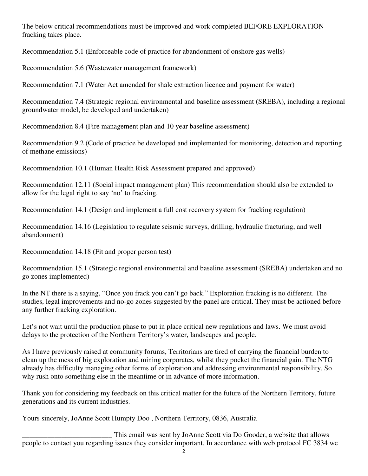The below critical recommendations must be improved and work completed BEFORE EXPLORATION fracking takes place.

Recommendation 5.1 (Enforceable code of practice for abandonment of onshore gas wells)

Recommendation 5.6 (Wastewater management framework)

Recommendation 7.1 (Water Act amended for shale extraction licence and payment for water)

Recommendation 7.4 (Strategic regional environmental and baseline assessment (SREBA), including a regional groundwater model, be developed and undertaken)

Recommendation 8.4 (Fire management plan and 10 year baseline assessment)

Recommendation 9.2 (Code of practice be developed and implemented for monitoring, detection and reporting of methane emissions)

Recommendation 10.1 (Human Health Risk Assessment prepared and approved)

Recommendation 12.11 (Social impact management plan) This recommendation should also be extended to allow for the legal right to say 'no' to fracking.

Recommendation 14.1 (Design and implement a full cost recovery system for fracking regulation)

Recommendation 14.16 (Legislation to regulate seismic surveys, drilling, hydraulic fracturing, and well abandonment)

Recommendation 14.18 (Fit and proper person test)

Recommendation 15.1 (Strategic regional environmental and baseline assessment (SREBA) undertaken and no go zones implemented)

In the NT there is a saying, "Once you frack you can't go back." Exploration fracking is no different. The studies, legal improvements and no-go zones suggested by the panel are critical. They must be actioned before any further fracking exploration.

Let's not wait until the production phase to put in place critical new regulations and laws. We must avoid delays to the protection of the Northern Territory's water, landscapes and people.

As I have previously raised at community forums, Territorians are tired of carrying the financial burden to clean up the mess of big exploration and mining corporates, whilst they pocket the financial gain. The NTG already has difficulty managing other forms of exploration and addressing environmental responsibility. So why rush onto something else in the meantime or in advance of more information.

Thank you for considering my feedback on this critical matter for the future of the Northern Territory, future generations and its current industries.

Yours sincerely, JoAnne Scott Humpty Doo , Northern Territory, 0836, Australia

This email was sent by JoAnne Scott via Do Gooder, a website that allows<br>people to contact you regarding issues they consider important. In accordance with web protocol FC 3834 we